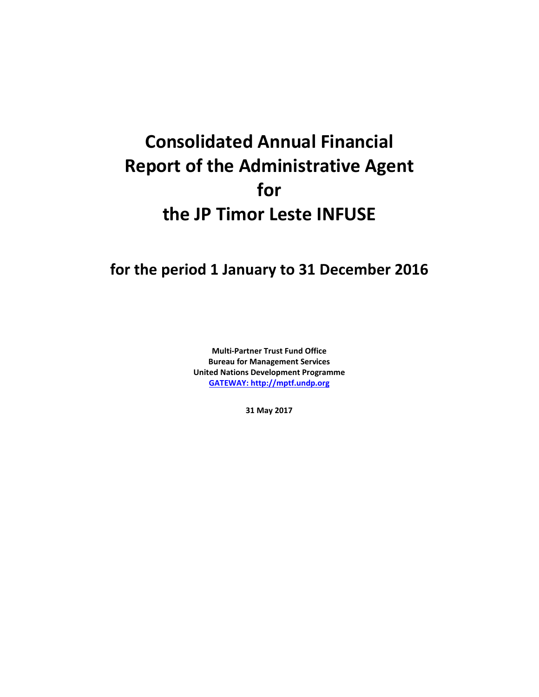# **Consolidated Annual Financial Report of the Administrative Agent for the JP Timor Leste INFUSE**

## **for the period 1 January to 31 December 2016**

**Multi-Partner Trust Fund Office Bureau for Management Services United Nations Development Programme [GATEWAY: http://mptf.undp.org](http://mptf.undp.org/)**

**31 May 2017**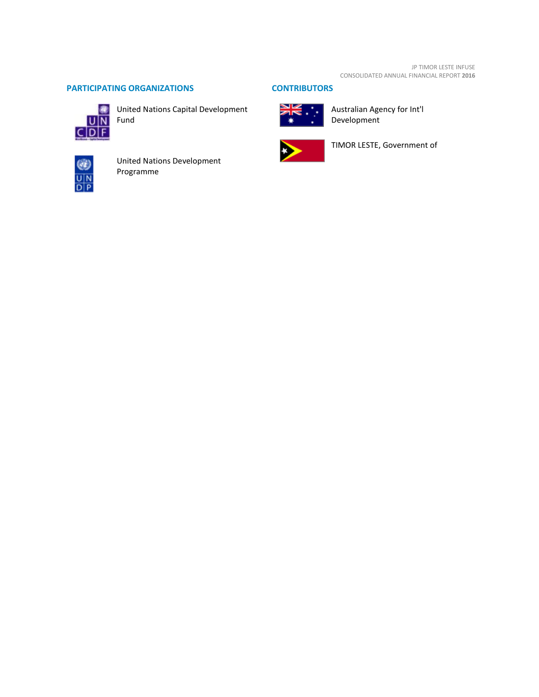### **PARTICIPATING ORGANIZATIONS CONTRIBUTORS**



United Nations Capital Development Fund



United Nations Development Programme



Australian Agency for Int'l Development



TIMOR LESTE, Government of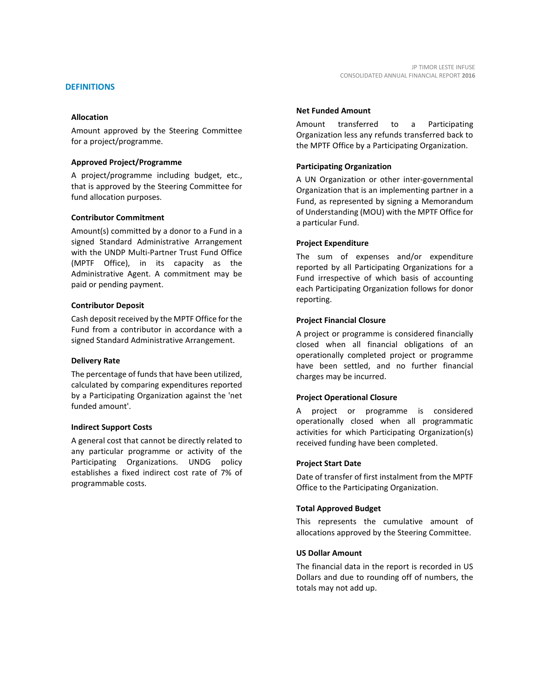Amount approved by the Steering Committee for a project/programme.

#### **Approved Project/Programme**

A project/programme including budget, etc., that is approved by the Steering Committee for fund allocation purposes.

#### **Contributor Commitment**

Amount(s) committed by a donor to a Fund in a signed Standard Administrative Arrangement with the UNDP Multi-Partner Trust Fund Office (MPTF Office), in its capacity as the Administrative Agent. A commitment may be paid or pending payment.

#### **Contributor Deposit**

Cash deposit received by the MPTF Office for the Fund from a contributor in accordance with a signed Standard Administrative Arrangement.

#### **Delivery Rate**

The percentage of funds that have been utilized, calculated by comparing expenditures reported by a Participating Organization against the 'net funded amount'.

#### **Indirect Support Costs**

A general cost that cannot be directly related to any particular programme or activity of the Participating Organizations. UNDG policy establishes a fixed indirect cost rate of 7% of programmable costs.

#### **Net Funded Amount**

Amount transferred to a Participating Organization less any refunds transferred back to the MPTF Office by a Participating Organization.

CONSOLIDATED ANNUAL FINANCIAL REPORT **2016**

JP TIMOR LESTE INFUSE

#### **Participating Organization**

A UN Organization or other inter-governmental Organization that is an implementing partner in a Fund, as represented by signing a Memorandum of Understanding (MOU) with the MPTF Office for a particular Fund.

#### **Project Expenditure**

The sum of expenses and/or expenditure reported by all Participating Organizations for a Fund irrespective of which basis of accounting each Participating Organization follows for donor reporting.

#### **Project Financial Closure**

A project or programme is considered financially closed when all financial obligations of an operationally completed project or programme have been settled, and no further financial charges may be incurred.

#### **Project Operational Closure**

A project or programme is considered operationally closed when all programmatic activities for which Participating Organization(s) received funding have been completed.

#### **Project Start Date**

Date of transfer of first instalment from the MPTF Office to the Participating Organization.

#### **Total Approved Budget**

This represents the cumulative amount of allocations approved by the Steering Committee.

#### **US Dollar Amount**

The financial data in the report is recorded in US Dollars and due to rounding off of numbers, the totals may not add up.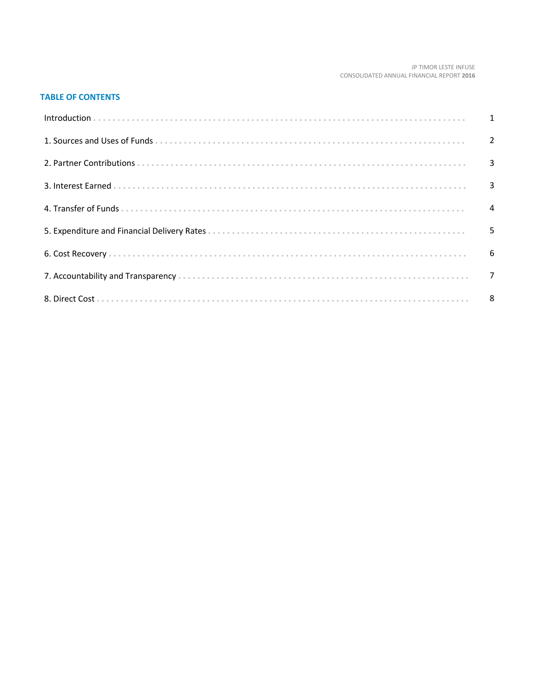#### JP TIMOR LESTE INFUSE CONSOLIDATED ANNUAL FINANCIAL REPORT 2016

### **TABLE OF CONTENTS**

| 5 |
|---|
|   |
|   |
|   |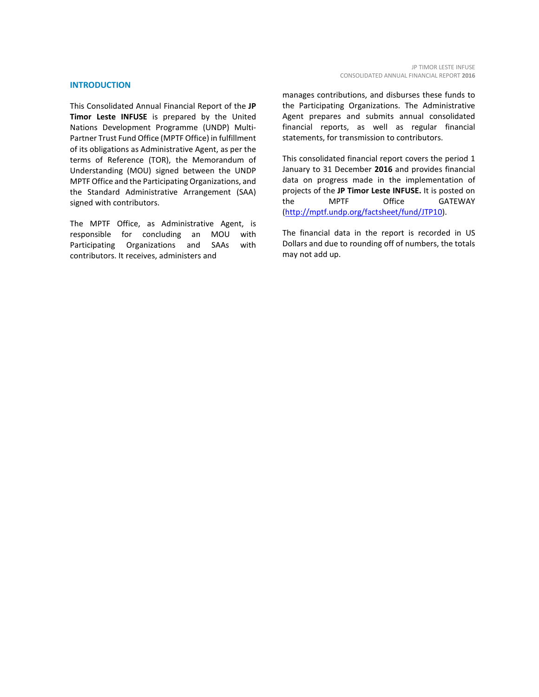#### **INTRODUCTION**

This Consolidated Annual Financial Report of the **JP Timor Leste INFUSE** is prepared by the United Nations Development Programme (UNDP) Multi-Partner Trust Fund Office (MPTF Office) in fulfillment of its obligations as Administrative Agent, as per the terms of Reference (TOR), the Memorandum of Understanding (MOU) signed between the UNDP MPTF Office and the Participating Organizations, and the Standard Administrative Arrangement (SAA) signed with contributors.

The MPTF Office, as Administrative Agent, is<br>responsible for concluding an MOU with responsible for concluding an MOU with Participating Organizations and SAAs with contributors. It receives, administers and

manages contributions, and disburses these funds to the Participating Organizations. The Administrative Agent prepares and submits annual consolidated financial reports, as well as regular financial statements, for transmission to contributors.

This consolidated financial report covers the period 1 January to 31 December **2016** and provides financial data on progress made in the implementation of projects of the **JP Timor Leste INFUSE.** It is posted on the MPTF Office GATEWAY [\(http://mptf.undp.org/factsheet/fund/JTP10\)](http://mptf.undp.org/factsheet/fund/JTP10).

The financial data in the report is recorded in US Dollars and due to rounding off of numbers, the totals may not add up.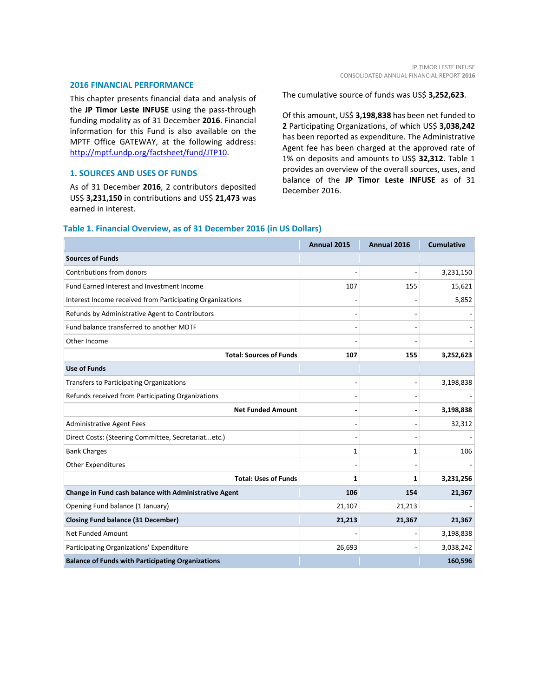#### **2016 FINANCIAL PERFORMANCE**

This chapter presents financial data and analysis of the **JP Timor Leste INFUSE** using the pass-through funding modality as of 31 December **2016**. Financial information for this Fund is also available on the MPTF Office GATEWAY, at the following address: [http://mptf.undp.org/factsheet/fund/JTP10.](http://mptf.undp.org/factsheet/fund/JTP10)

#### **1. SOURCES AND USES OF FUNDS**

As of 31 December **2016**, 2 contributors deposited US\$ **3,231,150** in contributions and US\$ **21,473** was earned in interest.

The cumulative source of funds was US\$ **3,252,623**.

Of this amount, US\$ **3,198,838** has been net funded to **2** Participating Organizations, of which US\$ **3,038,242** has been reported as expenditure. The Administrative Agent fee has been charged at the approved rate of 1% on deposits and amounts to US\$ **32,312**. Table 1 provides an overview of the overall sources, uses, and balance of the **JP Timor Leste INFUSE** as of 31 December 2016.

#### **Table 1. Financial Overview, as of 31 December 2016 (in US Dollars)**

|                                                           | Annual 2015 | Annual 2016 | <b>Cumulative</b> |
|-----------------------------------------------------------|-------------|-------------|-------------------|
| <b>Sources of Funds</b>                                   |             |             |                   |
| Contributions from donors                                 |             |             | 3,231,150         |
| Fund Earned Interest and Investment Income                | 107         | 155         | 15,621            |
| Interest Income received from Participating Organizations |             |             | 5,852             |
| Refunds by Administrative Agent to Contributors           |             |             |                   |
| Fund balance transferred to another MDTF                  |             |             |                   |
| Other Income                                              |             |             |                   |
| <b>Total: Sources of Funds</b>                            | 107         | 155         | 3,252,623         |
| <b>Use of Funds</b>                                       |             |             |                   |
| <b>Transfers to Participating Organizations</b>           |             |             | 3,198,838         |
| Refunds received from Participating Organizations         |             |             |                   |
| <b>Net Funded Amount</b>                                  |             |             | 3,198,838         |
| <b>Administrative Agent Fees</b>                          |             |             | 32,312            |
| Direct Costs: (Steering Committee, Secretariatetc.)       |             |             |                   |
| <b>Bank Charges</b>                                       | 1           | 1           | 106               |
| <b>Other Expenditures</b>                                 |             |             |                   |
| <b>Total: Uses of Funds</b>                               | 1           | 1           | 3,231,256         |
| Change in Fund cash balance with Administrative Agent     | 106         | 154         | 21,367            |
| Opening Fund balance (1 January)                          | 21,107      | 21,213      |                   |
| <b>Closing Fund balance (31 December)</b>                 | 21,213      | 21,367      | 21,367            |
| Net Funded Amount                                         |             |             | 3,198,838         |
| Participating Organizations' Expenditure                  | 26,693      |             | 3,038,242         |
| <b>Balance of Funds with Participating Organizations</b>  |             |             | 160,596           |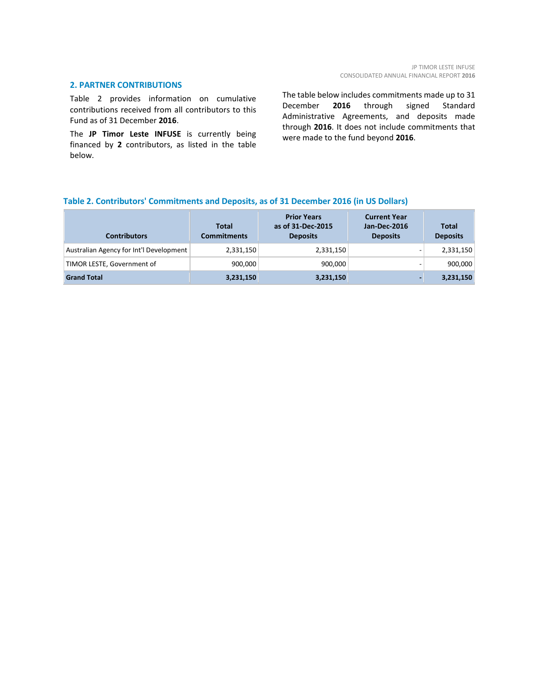#### **2. PARTNER CONTRIBUTIONS**

Table 2 provides information on cumulative contributions received from all contributors to this Fund as of 31 December **2016**.

The **JP Timor Leste INFUSE** is currently being financed by **2** contributors, as listed in the table below.

The table below includes commitments made up to 31 December **2016** through signed Standard Administrative Agreements, and deposits made through **2016**. It does not include commitments that were made to the fund beyond **2016**.

#### **Table 2. Contributors' Commitments and Deposits, as of 31 December 2016 (in US Dollars)**

| <b>Contributors</b>                     | <b>Total</b><br><b>Commitments</b> | <b>Prior Years</b><br>as of 31-Dec-2015<br><b>Deposits</b> | <b>Current Year</b><br><b>Jan-Dec-2016</b><br><b>Deposits</b> | <b>Total</b><br><b>Deposits</b> |
|-----------------------------------------|------------------------------------|------------------------------------------------------------|---------------------------------------------------------------|---------------------------------|
| Australian Agency for Int'l Development | 2,331,150                          | 2,331,150                                                  |                                                               | 2,331,150                       |
| TIMOR LESTE, Government of              | 900,000                            | 900.000                                                    |                                                               | 900,000                         |
| <b>Grand Total</b>                      | 3,231,150                          | 3,231,150                                                  | $\sim$                                                        | 3,231,150                       |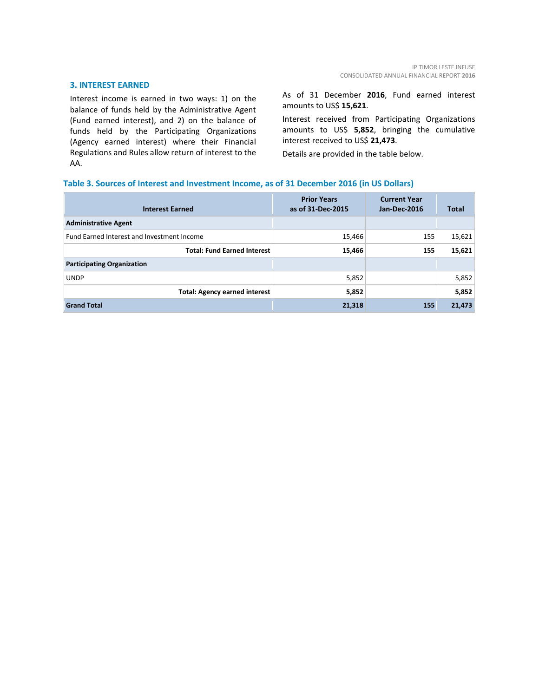#### **3. INTEREST EARNED**

Interest income is earned in two ways: 1) on the balance of funds held by the Administrative Agent (Fund earned interest), and 2) on the balance of funds held by the Participating Organizations (Agency earned interest) where their Financial Regulations and Rules allow return of interest to the AA.

As of 31 December **2016**, Fund earned interest amounts to US\$ **15,621**.

Interest received from Participating Organizations amounts to US\$ **5,852**, bringing the cumulative interest received to US\$ **21,473**.

Details are provided in the table below.

#### **Table 3. Sources of Interest and Investment Income, as of 31 December 2016 (in US Dollars)**

| <b>Interest Earned</b>                     | <b>Prior Years</b><br>as of 31-Dec-2015 | <b>Current Year</b><br>Jan-Dec-2016 | <b>Total</b> |
|--------------------------------------------|-----------------------------------------|-------------------------------------|--------------|
| <b>Administrative Agent</b>                |                                         |                                     |              |
| Fund Earned Interest and Investment Income | 15,466                                  | 155                                 | 15,621       |
| <b>Total: Fund Earned Interest</b>         | 15,466                                  | 155                                 | 15,621       |
| <b>Participating Organization</b>          |                                         |                                     |              |
| <b>UNDP</b>                                | 5,852                                   |                                     | 5,852        |
| <b>Total: Agency earned interest</b>       | 5,852                                   |                                     | 5,852        |
| <b>Grand Total</b>                         | 21,318                                  | 155                                 | 21,473       |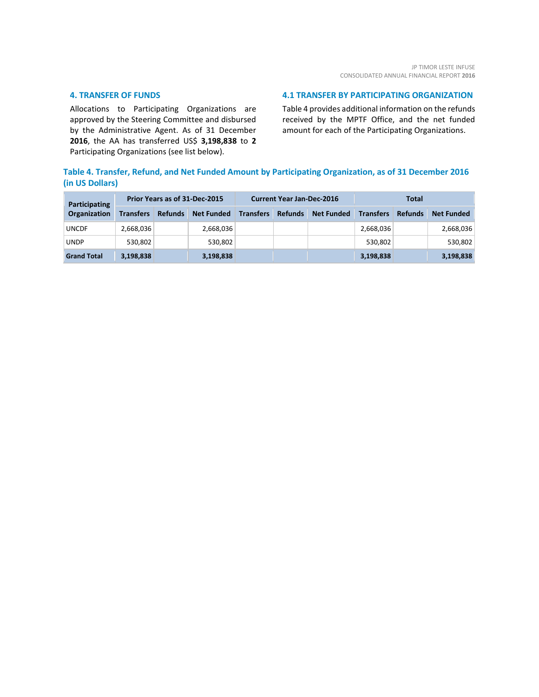#### **4. TRANSFER OF FUNDS**

Allocations to Participating Organizations are approved by the Steering Committee and disbursed by the Administrative Agent. As of 31 December **2016**, the AA has transferred US\$ **3,198,838** to **2** Participating Organizations (see list below).

#### **4.1 TRANSFER BY PARTICIPATING ORGANIZATION**

Table 4 provides additional information on the refunds received by the MPTF Office, and the net funded amount for each of the Participating Organizations.

## **Table 4. Transfer, Refund, and Net Funded Amount by Participating Organization, as of 31 December 2016 (in US Dollars)**

| Participating      | Prior Years as of 31-Dec-2015 |                |                   | <b>Current Year Jan-Dec-2016</b> |                |                   | Total            |                |                   |
|--------------------|-------------------------------|----------------|-------------------|----------------------------------|----------------|-------------------|------------------|----------------|-------------------|
| Organization       | <b>Transfers</b>              | <b>Refunds</b> | <b>Net Funded</b> | <b>Transfers</b>                 | <b>Refunds</b> | <b>Net Funded</b> | <b>Transfers</b> | <b>Refunds</b> | <b>Net Funded</b> |
| <b>UNCDF</b>       | 2,668,036                     |                | 2,668,036         |                                  |                |                   | 2,668,036        |                | 2,668,036         |
| <b>UNDP</b>        | 530,802                       |                | 530,802           |                                  |                |                   | 530,802          |                | 530,802           |
| <b>Grand Total</b> | 3,198,838                     |                | 3,198,838         |                                  |                |                   | 3,198,838        |                | 3,198,838         |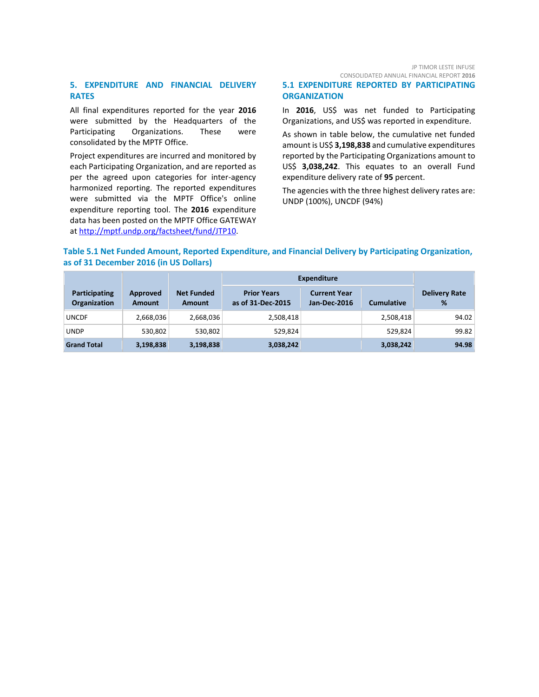#### **5. EXPENDITURE AND FINANCIAL DELIVERY RATES**

All final expenditures reported for the year **2016** were submitted by the Headquarters of the Participating Organizations. These were consolidated by the MPTF Office.

Project expenditures are incurred and monitored by each Participating Organization, and are reported as per the agreed upon categories for inter-agency harmonized reporting. The reported expenditures were submitted via the MPTF Office's online expenditure reporting tool. The **2016** expenditure data has been posted on the MPTF Office GATEWAY at [http://mptf.undp.org/factsheet/fund/JTP10.](http://mptf.undp.org/factsheet/fund/JTP10) 

#### **5.1 EXPENDITURE REPORTED BY PARTICIPATING ORGANIZATION**

In **2016**, US\$ was net funded to Participating Organizations, and US\$ was reported in expenditure.

As shown in table below, the cumulative net funded amount is US\$ **3,198,838** and cumulative expenditures reported by the Participating Organizations amount to US\$ **3,038,242**. This equates to an overall Fund expenditure delivery rate of **95** percent.

The agencies with the three highest delivery rates are: UNDP (100%), UNCDF (94%)

#### **Table 5.1 Net Funded Amount, Reported Expenditure, and Financial Delivery by Participating Organization, as of 31 December 2016 (in US Dollars)**

|                                             |                           |                                    | <b>Expenditure</b>                      |                                     |                   |                           |
|---------------------------------------------|---------------------------|------------------------------------|-----------------------------------------|-------------------------------------|-------------------|---------------------------|
| <b>Participating</b><br><b>Organization</b> | Approved<br><b>Amount</b> | <b>Net Funded</b><br><b>Amount</b> | <b>Prior Years</b><br>as of 31-Dec-2015 | <b>Current Year</b><br>Jan-Dec-2016 | <b>Cumulative</b> | <b>Delivery Rate</b><br>% |
| <b>UNCDF</b>                                | 2,668,036                 | 2,668,036                          | 2,508,418                               |                                     | 2,508,418         | 94.02                     |
| <b>UNDP</b>                                 | 530,802                   | 530,802                            | 529,824                                 |                                     | 529.824           | 99.82                     |
| <b>Grand Total</b>                          | 3,198,838                 | 3,198,838                          | 3,038,242                               |                                     | 3,038,242         | 94.98                     |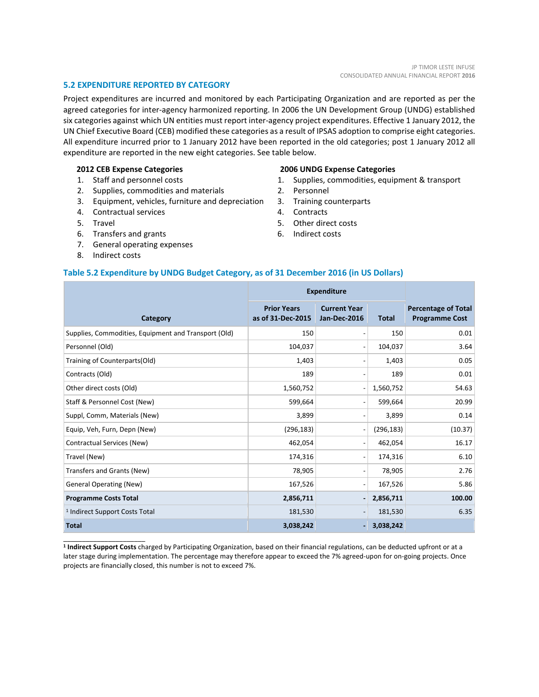#### **5.2 EXPENDITURE REPORTED BY CATEGORY**

Project expenditures are incurred and monitored by each Participating Organization and are reported as per the agreed categories for inter-agency harmonized reporting. In 2006 the UN Development Group (UNDG) established six categories against which UN entities must report inter-agency project expenditures. Effective 1 January 2012, the UN Chief Executive Board (CEB) modified these categories as a result of IPSAS adoption to comprise eight categories. All expenditure incurred prior to 1 January 2012 have been reported in the old categories; post 1 January 2012 all expenditure are reported in the new eight categories. See table below.

#### **2012 CEB Expense Categories**

- 1. Staff and personnel costs
- 2. Supplies, commodities and materials
- 3. Equipment, vehicles, furniture and depreciation
- 4. Contractual services
- 5. Travel
- 6. Transfers and grants
- 7. General operating expenses
- 8. Indirect costs

\_\_\_\_\_\_\_\_\_\_\_\_\_\_\_\_\_\_\_\_\_\_

#### **2006 UNDG Expense Categories**

- 1. Supplies, commodities, equipment & transport
- 2. Personnel
- 3. Training counterparts
- 4. Contracts
- 5. Other direct costs
- 6. Indirect costs

#### **Table 5.2 Expenditure by UNDG Budget Category, as of 31 December 2016 (in US Dollars)**

|                                                      | <b>Expenditure</b>                      |                                            |              |                                                     |
|------------------------------------------------------|-----------------------------------------|--------------------------------------------|--------------|-----------------------------------------------------|
| Category                                             | <b>Prior Years</b><br>as of 31-Dec-2015 | <b>Current Year</b><br><b>Jan-Dec-2016</b> | <b>Total</b> | <b>Percentage of Total</b><br><b>Programme Cost</b> |
| Supplies, Commodities, Equipment and Transport (Old) | 150                                     | $\qquad \qquad$                            | 150          | 0.01                                                |
| Personnel (Old)                                      | 104,037                                 | $\overline{\phantom{a}}$                   | 104,037      | 3.64                                                |
| Training of Counterparts(Old)                        | 1,403                                   | $\overline{\phantom{a}}$                   | 1,403        | 0.05                                                |
| Contracts (Old)                                      | 189                                     | $\qquad \qquad \blacksquare$               | 189          | 0.01                                                |
| Other direct costs (Old)                             | 1,560,752                               | $\overline{\phantom{a}}$                   | 1,560,752    | 54.63                                               |
| Staff & Personnel Cost (New)                         | 599,664                                 | $\overline{a}$                             | 599,664      | 20.99                                               |
| Suppl, Comm, Materials (New)                         | 3,899                                   | $\qquad \qquad \blacksquare$               | 3,899        | 0.14                                                |
| Equip, Veh, Furn, Depn (New)                         | (296, 183)                              | $\overline{\phantom{a}}$                   | (296, 183)   | (10.37)                                             |
| Contractual Services (New)                           | 462,054                                 | $\overline{\phantom{a}}$                   | 462,054      | 16.17                                               |
| Travel (New)                                         | 174,316                                 | $\overline{\phantom{a}}$                   | 174,316      | 6.10                                                |
| Transfers and Grants (New)                           | 78,905                                  | $\overline{\phantom{a}}$                   | 78,905       | 2.76                                                |
| <b>General Operating (New)</b>                       | 167,526                                 | $\overline{\phantom{a}}$                   | 167,526      | 5.86                                                |
| <b>Programme Costs Total</b>                         | 2,856,711                               | $\overline{a}$                             | 2,856,711    | 100.00                                              |
| <sup>1</sup> Indirect Support Costs Total            | 181,530                                 | $\overline{\phantom{a}}$                   | 181,530      | 6.35                                                |
| <b>Total</b>                                         | 3,038,242                               | ٠                                          | 3,038,242    |                                                     |

**<sup>1</sup> Indirect Support Costs** charged by Participating Organization, based on their financial regulations, can be deducted upfront or at a later stage during implementation. The percentage may therefore appear to exceed the 7% agreed-upon for on-going projects. Once projects are financially closed, this number is not to exceed 7%.